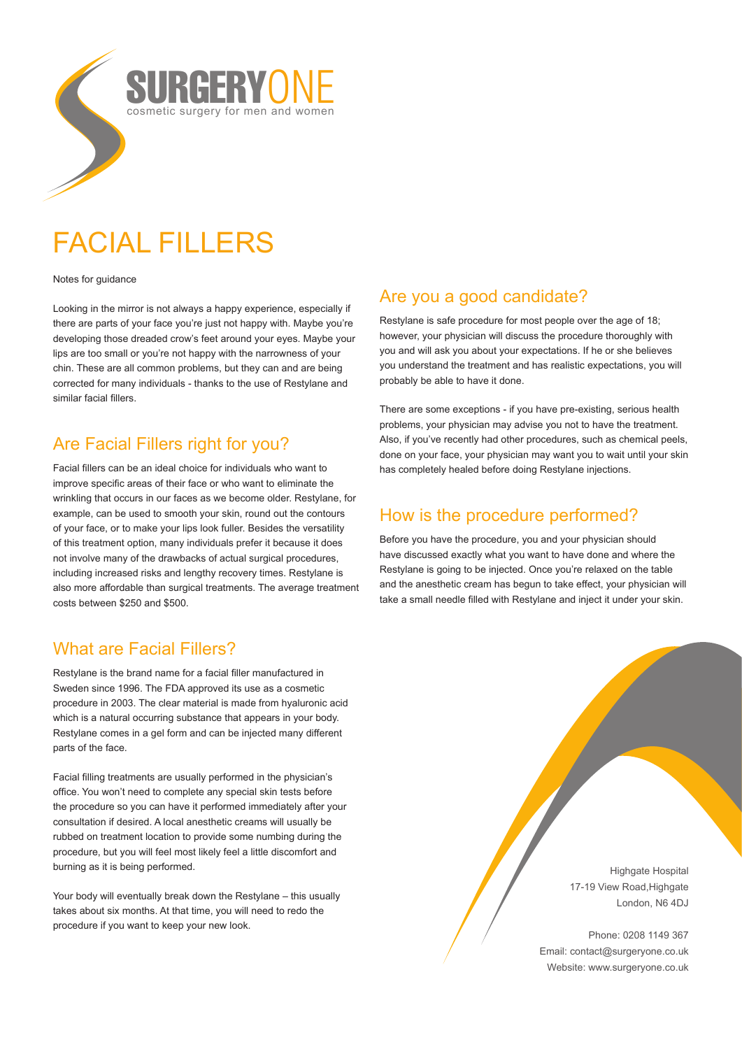# FACIAL FILLERS

#### Notes for guidance

Looking in the mirror is not always a happy experience, especially if there are parts of your face you're just not happy with. Maybe you're developing those dreaded crow's feet around your eyes. Maybe your lips are too small or you're not happy with the narrowness of your chin. These are all common problems, but they can and are being corrected for many individuals - thanks to the use of Restylane and similar facial fillers.

REERVO

cosmetic surgery for men and women

#### Are Facial Fillers right for you?

Facial fillers can be an ideal choice for individuals who want to improve specific areas of their face or who want to eliminate the wrinkling that occurs in our faces as we become older. Restylane, for example, can be used to smooth your skin, round out the contours of your face, or to make your lips look fuller. Besides the versatility of this treatment option, many individuals prefer it because it does not involve many of the drawbacks of actual surgical procedures, including increased risks and lengthy recovery times. Restylane is also more affordable than surgical treatments. The average treatment costs between \$250 and \$500.

#### What are Facial Fillers?

Restylane is the brand name for a facial filler manufactured in Sweden since 1996. The FDA approved its use as a cosmetic procedure in 2003. The clear material is made from hyaluronic acid which is a natural occurring substance that appears in your body. Restylane comes in a gel form and can be injected many different parts of the face.

Facial filling treatments are usually performed in the physician's office. You won't need to complete any special skin tests before the procedure so you can have it performed immediately after your consultation if desired. A local anesthetic creams will usually be rubbed on treatment location to provide some numbing during the procedure, but you will feel most likely feel a little discomfort and burning as it is being performed.

Your body will eventually break down the Restylane – this usually takes about six months. At that time, you will need to redo the procedure if you want to keep your new look.

### Are you a good candidate?

Restylane is safe procedure for most people over the age of 18; however, your physician will discuss the procedure thoroughly with you and will ask you about your expectations. If he or she believes you understand the treatment and has realistic expectations, you will probably be able to have it done.

There are some exceptions - if you have pre-existing, serious health problems, your physician may advise you not to have the treatment. Also, if you've recently had other procedures, such as chemical peels, done on your face, your physician may want you to wait until your skin has completely healed before doing Restylane injections.

#### How is the procedure performed?

Before you have the procedure, you and your physician should have discussed exactly what you want to have done and where the Restylane is going to be injected. Once you're relaxed on the table and the anesthetic cream has begun to take effect, your physician will take a small needle filled with Restylane and inject it under your skin.

> Highgate Hospital 17-19 View Road,Highgate London, N6 4DJ

Phone: 0208 1149 367 Email: contact@surgeryone.co.uk Website: www.surgeryone.co.uk